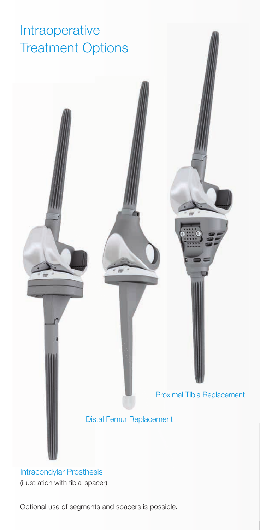#### Intraoperative Treatment Options



#### Intracondylar Prosthesis (illustration with tibial spacer)

Optional use of segments and spacers is possible.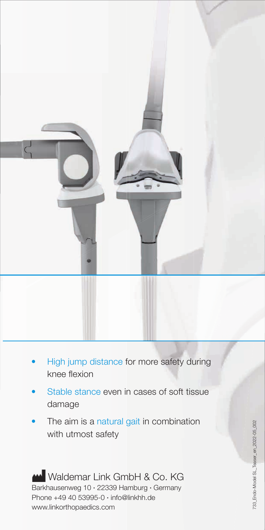

- High jump distance for more safety during knee flexion
- Stable stance even in cases of soft tissue damage
- The aim is a natural gait in combination with utmost safety

Waldemar Link GmbH & Co. KG Barkhausenweg 10 · 22339 Hamburg · Germany Phone +49 40 53995-0 · info@linkhh.de www.linkorthopaedics.com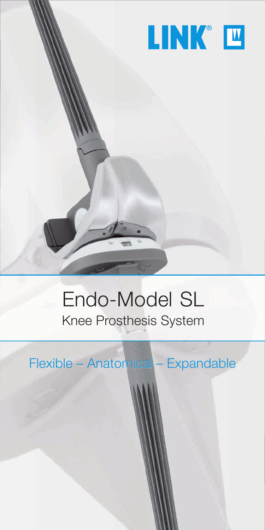

#### Endo-Model SL Knee Prosthesis System

Flexible – Anatomical – Expandable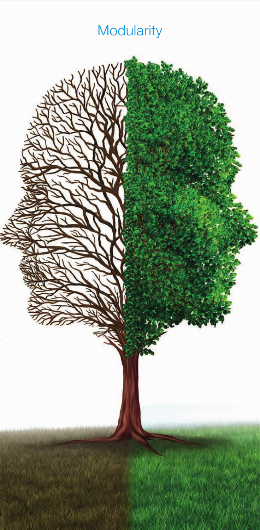### **Modularity**

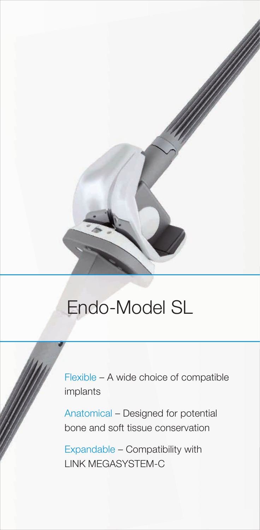

Flexible – A wide choice of compatible implants

Anatomical – Designed for potential bone and soft tissue conservation

Expandable – Compatibility with LINK MEGASYSTEM-C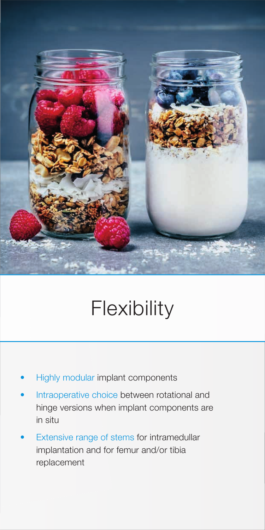

# **Flexibility**

- Highly modular implant components
- Intraoperative choice between rotational and hinge versions when implant components are in situ
- Extensive range of stems for intramedullar implantation and for femur and/or tibia replacement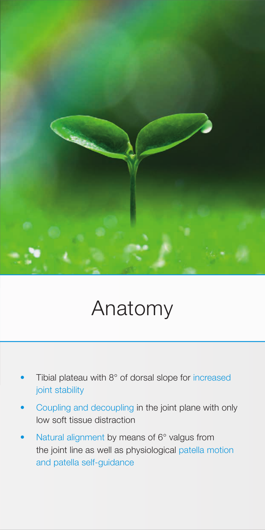

## Anatomy

- Tibial plateau with 8° of dorsal slope for increased joint stability
- Coupling and decoupling in the joint plane with only low soft tissue distraction
- Natural alignment by means of 6° valgus from the joint line as well as physiological patella motion and patella self-guidance